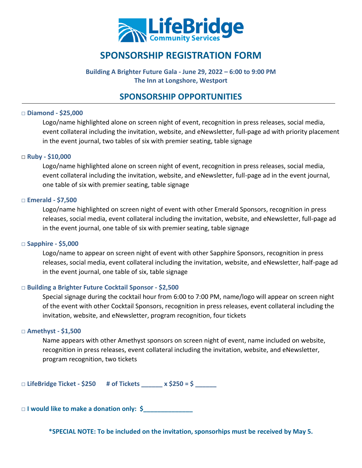

# **SPONSORSHIP REGISTRATION FORM**

**Building A Brighter Future Gala - June 29, 2022 – 6:00 to 9:00 PM The Inn at Longshore, Westport** 

### **SPONSORSHIP OPPORTUNITIES**

#### **□ Diamond - \$25,000**

Logo/name highlighted alone on screen night of event, recognition in press releases, social media, event collateral including the invitation, website, and eNewsletter, full-page ad with priority placement in the event journal, two tables of six with premier seating, table signage

#### **□ Ruby - \$10,000**

Logo/name highlighted alone on screen night of event, recognition in press releases, social media, event collateral including the invitation, website, and eNewsletter, full-page ad in the event journal, one table of six with premier seating, table signage

#### **□ Emerald - \$7,500**

Logo/name highlighted on screen night of event with other Emerald Sponsors, recognition in press releases, social media, event collateral including the invitation, website, and eNewsletter, full-page ad in the event journal, one table of six with premier seating, table signage

#### **□ Sapphire - \$5,000**

Logo/name to appear on screen night of event with other Sapphire Sponsors, recognition in press releases, social media, event collateral including the invitation, website, and eNewsletter, half-page ad in the event journal, one table of six, table signage

#### **□ Building a Brighter Future Cocktail Sponsor - \$2,500**

Special signage during the cocktail hour from 6:00 to 7:00 PM, name/logo will appear on screen night of the event with other Cocktail Sponsors, recognition in press releases, event collateral including the invitation, website, and eNewsletter, program recognition, four tickets

#### **□ Amethyst - \$1,500**

Name appears with other Amethyst sponsors on screen night of event, name included on website, recognition in press releases, event collateral including the invitation, website, and eNewsletter, program recognition, two tickets

□ **LifeBridge Ticket - \$250 # of Tickets \_\_\_\_\_\_ x \$250 = \$ \_\_\_\_\_\_**

□ **I would like to make a donation only: \$\_\_\_\_\_\_\_\_\_\_\_\_\_\_**

**\*SPECIAL NOTE: To be included on the invitation, sponsorhips must be received by May 5.**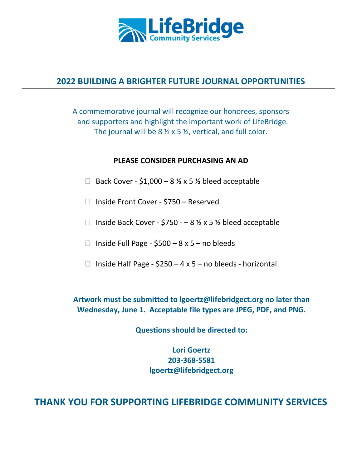

## **2022 BUILDING A BRIGHTER FUTURE JOURNAL OPPORTUNITIES**

A commemorative journal will recognize our honorees, sponsors and supporters and highlight the important work of LifeBridge. The journal will be  $8\frac{1}{2} \times 5\frac{1}{2}$ , vertical, and full color.

### **PLEASE CONSIDER PURCHASING AN AD**

- □ Back Cover \$1,000 8  $\frac{1}{2}$  x 5  $\frac{1}{2}$  bleed acceptable
- □ Inside Front Cover \$750 Reserved
- □ Inside Back Cover \$750  $-$  8 ½ x 5 ½ bleed acceptable
- □ Inside Full Page  $$500 8 \times 5 -$  no bleeds
- □ Inside Half Page  $$250 4 \times 5 -$  no bleeds horizontal

**Artwork must be submitted to lgoertz@lifebridgect.org no later than Wednesday, June 1. Acceptable file types are JPEG, PDF, and PNG.**

**Questions should be directed to:**

**Lori Goertz 203-368-5581 lgoertz@lifebridgect.org**

## **THANK YOU FOR SUPPORTING LIFEBRIDGE COMMUNITY SERVICES**